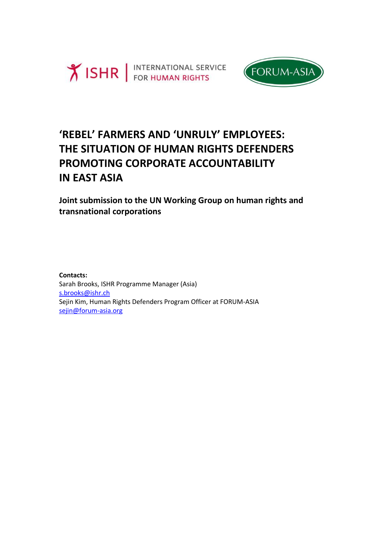



# **'REBEL' FARMERS AND 'UNRULY' EMPLOYEES: THE SITUATION OF HUMAN RIGHTS DEFENDERS PROMOTING CORPORATE ACCOUNTABILITY IN EAST ASIA**

**Joint submission to the UN Working Group on human rights and transnational corporations**

**Contacts:**  Sarah Brooks, ISHR Programme Manager (Asia) [s.brooks@ishr.ch](mailto:s.brooks@ishr.ch) Sejin Kim, Human Rights Defenders Program Officer at FORUM-ASIA [sejin@forum-asia.org](mailto:sejin@forum-asia.org)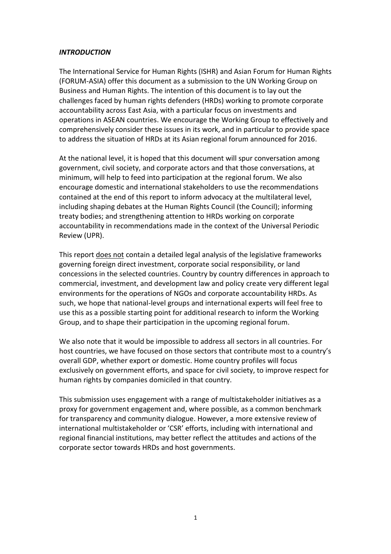#### *INTRODUCTION*

The International Service for Human Rights (ISHR) and Asian Forum for Human Rights (FORUM-ASIA) offer this document as a submission to the UN Working Group on Business and Human Rights. The intention of this document is to lay out the challenges faced by human rights defenders (HRDs) working to promote corporate accountability across East Asia, with a particular focus on investments and operations in ASEAN countries. We encourage the Working Group to effectively and comprehensively consider these issues in its work, and in particular to provide space to address the situation of HRDs at its Asian regional forum announced for 2016.

At the national level, it is hoped that this document will spur conversation among government, civil society, and corporate actors and that those conversations, at minimum, will help to feed into participation at the regional forum. We also encourage domestic and international stakeholders to use the recommendations contained at the end of this report to inform advocacy at the multilateral level, including shaping debates at the Human Rights Council (the Council); informing treaty bodies; and strengthening attention to HRDs working on corporate accountability in recommendations made in the context of the Universal Periodic Review (UPR).

This report does not contain a detailed legal analysis of the legislative frameworks governing foreign direct investment, corporate social responsibility, or land concessions in the selected countries. Country by country differences in approach to commercial, investment, and development law and policy create very different legal environments for the operations of NGOs and corporate accountability HRDs. As such, we hope that national-level groups and international experts will feel free to use this as a possible starting point for additional research to inform the Working Group, and to shape their participation in the upcoming regional forum.

We also note that it would be impossible to address all sectors in all countries. For host countries, we have focused on those sectors that contribute most to a country's overall GDP, whether export or domestic. Home country profiles will focus exclusively on government efforts, and space for civil society, to improve respect for human rights by companies domiciled in that country.

This submission uses engagement with a range of multistakeholder initiatives as a proxy for government engagement and, where possible, as a common benchmark for transparency and community dialogue. However, a more extensive review of international multistakeholder or 'CSR' efforts, including with international and regional financial institutions, may better reflect the attitudes and actions of the corporate sector towards HRDs and host governments.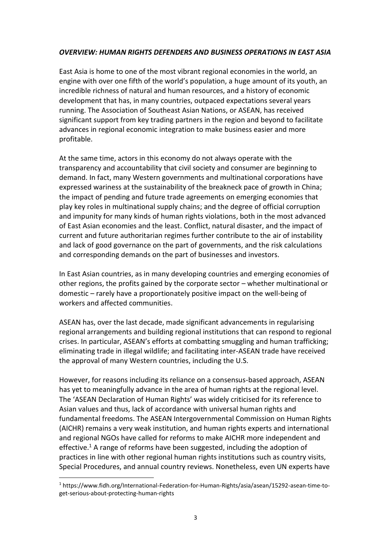## *OVERVIEW: HUMAN RIGHTS DEFENDERS AND BUSINESS OPERATIONS IN EAST ASIA*

East Asia is home to one of the most vibrant regional economies in the world, an engine with over one fifth of the world's population, a huge amount of its youth, an incredible richness of natural and human resources, and a history of economic development that has, in many countries, outpaced expectations several years running. The Association of Southeast Asian Nations, or ASEAN, has received significant support from key trading partners in the region and beyond to facilitate advances in regional economic integration to make business easier and more profitable.

At the same time, actors in this economy do not always operate with the transparency and accountability that civil society and consumer are beginning to demand. In fact, many Western governments and multinational corporations have expressed wariness at the sustainability of the breakneck pace of growth in China; the impact of pending and future trade agreements on emerging economies that play key roles in multinational supply chains; and the degree of official corruption and impunity for many kinds of human rights violations, both in the most advanced of East Asian economies and the least. Conflict, natural disaster, and the impact of current and future authoritarian regimes further contribute to the air of instability and lack of good governance on the part of governments, and the risk calculations and corresponding demands on the part of businesses and investors.

In East Asian countries, as in many developing countries and emerging economies of other regions, the profits gained by the corporate sector – whether multinational or domestic – rarely have a proportionately positive impact on the well-being of workers and affected communities.

ASEAN has, over the last decade, made significant advancements in regularising regional arrangements and building regional institutions that can respond to regional crises. In particular, ASEAN's efforts at combatting smuggling and human trafficking; eliminating trade in illegal wildlife; and facilitating inter-ASEAN trade have received the approval of many Western countries, including the U.S.

However, for reasons including its reliance on a consensus-based approach, ASEAN has yet to meaningfully advance in the area of human rights at the regional level. The 'ASEAN Declaration of Human Rights' was widely criticised for its reference to Asian values and thus, lack of accordance with universal human rights and fundamental freedoms. The ASEAN Intergovernmental Commission on Human Rights (AICHR) remains a very weak institution, and human rights experts and international and regional NGOs have called for reforms to make AICHR more independent and effective.<sup>1</sup> A range of reforms have been suggested, including the adoption of practices in line with other regional human rights institutions such as country visits, Special Procedures, and annual country reviews. Nonetheless, even UN experts have

<sup>1</sup> https://www.fidh.org/International-Federation-for-Human-Rights/asia/asean/15292-asean-time-toget-serious-about-protecting-human-rights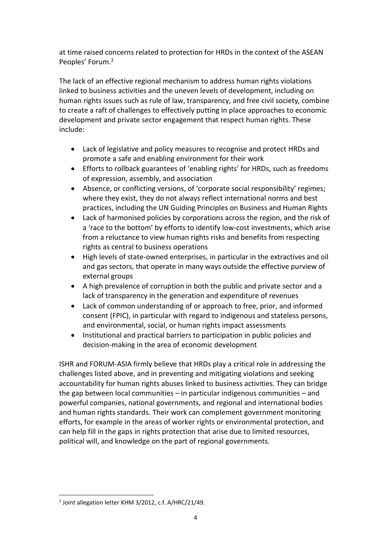at time raised concerns related to protection for HRDs in the context of the ASEAN Peoples' Forum.<sup>2</sup>

The lack of an effective regional mechanism to address human rights violations linked to business activities and the uneven levels of development, including on human rights issues such as rule of law, transparency, and free civil society, combine to create a raft of challenges to effectively putting in place approaches to economic development and private sector engagement that respect human rights. These include:

- Lack of legislative and policy measures to recognise and protect HRDs and promote a safe and enabling environment for their work
- Efforts to rollback guarantees of 'enabling rights' for HRDs, such as freedoms of expression, assembly, and association
- Absence, or conflicting versions, of 'corporate social responsibility' regimes; where they exist, they do not always reflect international norms and best practices, including the UN Guiding Principles on Business and Human Rights
- Lack of harmonised policies by corporations across the region, and the risk of a 'race to the bottom' by efforts to identify low-cost investments, which arise from a reluctance to view human rights risks and benefits from respecting rights as central to business operations
- High levels of state-owned enterprises, in particular in the extractives and oil and gas sectors, that operate in many ways outside the effective purview of external groups
- A high prevalence of corruption in both the public and private sector and a lack of transparency in the generation and expenditure of revenues
- Lack of common understanding of or approach to free, prior, and informed consent (FPIC), in particular with regard to indigenous and stateless persons, and environmental, social, or human rights impact assessments
- Institutional and practical barriers to participation in public policies and decision-making in the area of economic development

ISHR and FORUM-ASIA firmly believe that HRDs play a critical role in addressing the challenges listed above, and in preventing and mitigating violations and seeking accountability for human rights abuses linked to business activities. They can bridge the gap between local communities – in particular indigenous communities – and powerful companies, national governments, and regional and international bodies and human rights standards. Their work can complement government monitoring efforts, for example in the areas of worker rights or environmental protection, and can help fill in the gaps in rights protection that arise due to limited resources, political will, and knowledge on the part of regional governments.

 $\overline{a}$ 2 Joint allegation letter KHM 3/2012, c.f. A/HRC/21/49.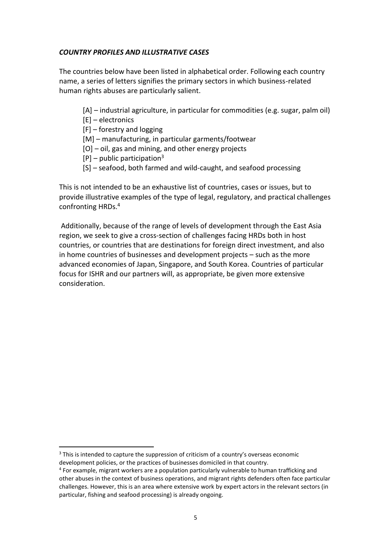## *COUNTRY PROFILES AND ILLUSTRATIVE CASES*

The countries below have been listed in alphabetical order. Following each country name, a series of letters signifies the primary sectors in which business-related human rights abuses are particularly salient.

- [A] industrial agriculture, in particular for commodities (e.g. sugar, palm oil)
- [E] electronics

 $\overline{a}$ 

- [F] forestry and logging
- [M] manufacturing, in particular garments/footwear
- [O] oil, gas and mining, and other energy projects
- $[P]$  public participation<sup>3</sup>
- [S] seafood, both farmed and wild-caught, and seafood processing

This is not intended to be an exhaustive list of countries, cases or issues, but to provide illustrative examples of the type of legal, regulatory, and practical challenges confronting HRDs. 4

Additionally, because of the range of levels of development through the East Asia region, we seek to give a cross-section of challenges facing HRDs both in host countries, or countries that are destinations for foreign direct investment, and also in home countries of businesses and development projects – such as the more advanced economies of Japan, Singapore, and South Korea. Countries of particular focus for ISHR and our partners will, as appropriate, be given more extensive consideration.

<sup>&</sup>lt;sup>3</sup> This is intended to capture the suppression of criticism of a country's overseas economic development policies, or the practices of businesses domiciled in that country.

<sup>&</sup>lt;sup>4</sup> For example, migrant workers are a population particularly vulnerable to human trafficking and other abuses in the context of business operations, and migrant rights defenders often face particular challenges. However, this is an area where extensive work by expert actors in the relevant sectors (in particular, fishing and seafood processing) is already ongoing.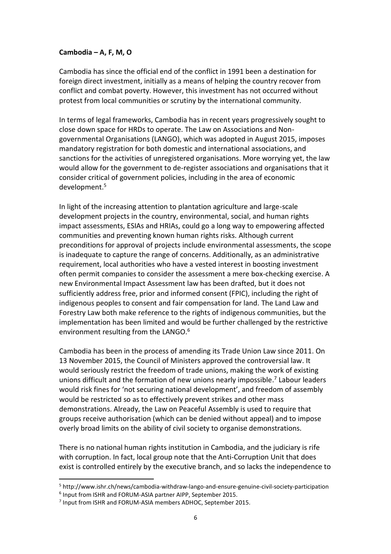#### **Cambodia – A, F, M, O**

Cambodia has since the official end of the conflict in 1991 been a destination for foreign direct investment, initially as a means of helping the country recover from conflict and combat poverty. However, this investment has not occurred without protest from local communities or scrutiny by the international community.

In terms of legal frameworks, Cambodia has in recent years progressively sought to close down space for HRDs to operate. The Law on Associations and Nongovernmental Organisations (LANGO), which was adopted in August 2015, imposes mandatory registration for both domestic and international associations, and sanctions for the activities of unregistered organisations. More worrying yet, the law would allow for the government to de-register associations and organisations that it consider critical of government policies, including in the area of economic development. 5

In light of the increasing attention to plantation agriculture and large-scale development projects in the country, environmental, social, and human rights impact assessments, ESIAs and HRIAs, could go a long way to empowering affected communities and preventing known human rights risks. Although current preconditions for approval of projects include environmental assessments, the scope is inadequate to capture the range of concerns. Additionally, as an administrative requirement, local authorities who have a vested interest in boosting investment often permit companies to consider the assessment a mere box-checking exercise. A new Environmental Impact Assessment law has been drafted, but it does not sufficiently address free, prior and informed consent (FPIC), including the right of indigenous peoples to consent and fair compensation for land. The Land Law and Forestry Law both make reference to the rights of indigenous communities, but the implementation has been limited and would be further challenged by the restrictive environment resulting from the LANGO. $^6$ 

Cambodia has been in the process of amending its Trade Union Law since 2011. On 13 November 2015, the Council of Ministers approved the controversial law. It would seriously restrict the freedom of trade unions, making the work of existing unions difficult and the formation of new unions nearly impossible. 7 Labour leaders would risk fines for 'not securing national development', and freedom of assembly would be restricted so as to effectively prevent strikes and other mass demonstrations. Already, the Law on Peaceful Assembly is used to require that groups receive authorisation (which can be denied without appeal) and to impose overly broad limits on the ability of civil society to organise demonstrations.

There is no national human rights institution in Cambodia, and the judiciary is rife with corruption. In fact, local group note that the Anti-Corruption Unit that does exist is controlled entirely by the executive branch, and so lacks the independence to

<sup>5</sup> http://www.ishr.ch/news/cambodia-withdraw-lango-and-ensure-genuine-civil-society-participation

<sup>6</sup> Input from ISHR and FORUM-ASIA partner AIPP, September 2015.

<sup>&</sup>lt;sup>7</sup> Input from ISHR and FORUM-ASIA members ADHOC, September 2015.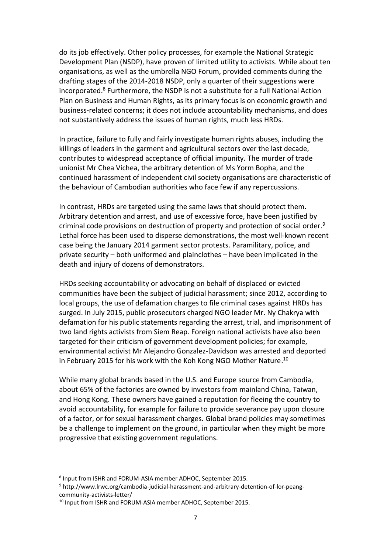do its job effectively. Other policy processes, for example the National Strategic Development Plan (NSDP), have proven of limited utility to activists. While about ten organisations, as well as the umbrella NGO Forum, provided comments during the drafting stages of the 2014-2018 NSDP, only a quarter of their suggestions were incorporated. <sup>8</sup> Furthermore, the NSDP is not a substitute for a full National Action Plan on Business and Human Rights, as its primary focus is on economic growth and business-related concerns; it does not include accountability mechanisms, and does not substantively address the issues of human rights, much less HRDs.

In practice, failure to fully and fairly investigate human rights abuses, including the killings of leaders in the garment and agricultural sectors over the last decade, contributes to widespread acceptance of official impunity. The murder of trade unionist Mr Chea Vichea, the arbitrary detention of Ms Yorm Bopha, and the continued harassment of independent civil society organisations are characteristic of the behaviour of Cambodian authorities who face few if any repercussions.

In contrast, HRDs are targeted using the same laws that should protect them. Arbitrary detention and arrest, and use of excessive force, have been justified by criminal code provisions on destruction of property and protection of social order. 9 Lethal force has been used to disperse demonstrations, the most well-known recent case being the January 2014 garment sector protests. Paramilitary, police, and private security – both uniformed and plainclothes – have been implicated in the death and injury of dozens of demonstrators.

HRDs seeking accountability or advocating on behalf of displaced or evicted communities have been the subject of judicial harassment; since 2012, according to local groups, the use of defamation charges to file criminal cases against HRDs has surged. In July 2015, public prosecutors charged NGO leader Mr. Ny Chakrya with defamation for his public statements regarding the arrest, trial, and imprisonment of two land rights activists from Siem Reap. Foreign national activists have also been targeted for their criticism of government development policies; for example, environmental activist Mr Alejandro Gonzalez-Davidson was arrested and deported in February 2015 for his work with the Koh Kong NGO Mother Nature. $^{10}$ 

While many global brands based in the U.S. and Europe source from Cambodia, about 65% of the factories are owned by investors from mainland China, Taiwan, and Hong Kong. These owners have gained a reputation for fleeing the country to avoid accountability, for example for failure to provide severance pay upon closure of a factor, or for sexual harassment charges. Global brand policies may sometimes be a challenge to implement on the ground, in particular when they might be more progressive that existing government regulations.

<sup>8</sup> Input from ISHR and FORUM-ASIA member ADHOC, September 2015.

<sup>9</sup> http://www.lrwc.org/cambodia-judicial-harassment-and-arbitrary-detention-of-lor-peangcommunity-activists-letter/

<sup>&</sup>lt;sup>10</sup> Input from ISHR and FORUM-ASIA member ADHOC, September 2015.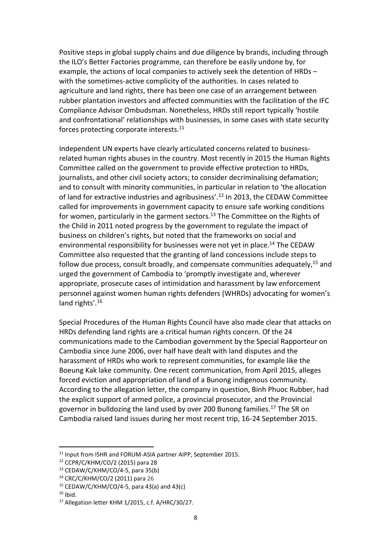Positive steps in global supply chains and due diligence by brands, including through the ILO's Better Factories programme, can therefore be easily undone by, for example, the actions of local companies to actively seek the detention of HRDs – with the sometimes-active complicity of the authorities. In cases related to agriculture and land rights, there has been one case of an arrangement between rubber plantation investors and affected communities with the facilitation of the IFC Compliance Advisor Ombudsman. Nonetheless, HRDs still report typically 'hostile and confrontational' relationships with businesses, in some cases with state security forces protecting corporate interests. 11

Independent UN experts have clearly articulated concerns related to businessrelated human rights abuses in the country. Most recently in 2015 the Human Rights Committee called on the government to provide effective protection to HRDs, journalists, and other civil society actors; to consider decriminalising defamation; and to consult with minority communities, in particular in relation to 'the allocation of land for extractive industries and agribusiness'.<sup>12</sup> In 2013, the CEDAW Committee called for improvements in government capacity to ensure safe working conditions for women, particularly in the garment sectors. <sup>13</sup> The Committee on the Rights of the Child in 2011 noted progress by the government to regulate the impact of business on children's rights, but noted that the frameworks on social and environmental responsibility for businesses were not yet in place. <sup>14</sup> The CEDAW Committee also requested that the granting of land concessions include steps to follow due process, consult broadly, and compensate communities adequately,<sup>15</sup> and urged the government of Cambodia to 'promptly investigate and, wherever appropriate, prosecute cases of intimidation and harassment by law enforcement personnel against women human rights defenders (WHRDs) advocating for women's land rights'.<sup>16</sup>

Special Procedures of the Human Rights Council have also made clear that attacks on HRDs defending land rights are a critical human rights concern. Of the 24 communications made to the Cambodian government by the Special Rapporteur on Cambodia since June 2006, over half have dealt with land disputes and the harassment of HRDs who work to represent communities, for example like the Boeung Kak lake community. One recent communication, from April 2015, alleges forced eviction and appropriation of land of a Bunong indigenous community. According to the allegation letter, the company in question, Binh Phuoc Rubber, had the explicit support of armed police, a provincial prosecutor, and the Provincial governor in bulldozing the land used by over 200 Bunong families. <sup>17</sup> The SR on Cambodia raised land issues during her most recent trip, 16-24 September 2015.

<sup>&</sup>lt;sup>11</sup> Input from ISHR and FORUM-ASIA partner AIPP, September 2015.

<sup>12</sup> CCPR/C/KHM/CO/2 (2015) para 28

 $13$  CEDAW/C/KHM/CO/4-5, para 35(b)

<sup>14</sup> CRC/C/KHM/CO/2 (2011) para 26

 $15$  CEDAW/C/KHM/CO/4-5, para 43(a) and 43(c)

 $16$  Ibid.

<sup>17</sup> Allegation letter KHM 1/2015, c.f. A/HRC/30/27.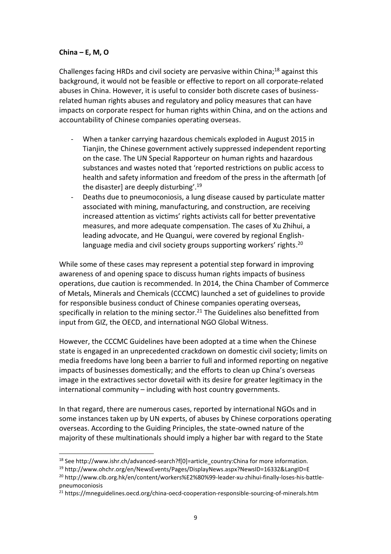## **China – E, M, O**

 $\overline{a}$ 

Challenges facing HRDs and civil society are pervasive within China;<sup>18</sup> against this background, it would not be feasible or effective to report on all corporate-related abuses in China. However, it is useful to consider both discrete cases of businessrelated human rights abuses and regulatory and policy measures that can have impacts on corporate respect for human rights within China, and on the actions and accountability of Chinese companies operating overseas.

- When a tanker carrying hazardous chemicals exploded in August 2015 in Tianjin, the Chinese government actively suppressed independent reporting on the case. The UN Special Rapporteur on human rights and hazardous substances and wastes noted that 'reported restrictions on public access to health and safety information and freedom of the press in the aftermath [of the disaster] are deeply disturbing'. 19
- Deaths due to pneumoconiosis, a lung disease caused by particulate matter associated with mining, manufacturing, and construction, are receiving increased attention as victims' rights activists call for better preventative measures, and more adequate compensation. The cases of Xu Zhihui, a leading advocate, and He Quangui, were covered by regional Englishlanguage media and civil society groups supporting workers' rights.<sup>20</sup>

While some of these cases may represent a potential step forward in improving awareness of and opening space to discuss human rights impacts of business operations, due caution is recommended. In 2014, the China Chamber of Commerce of Metals, Minerals and Chemicals (CCCMC) launched a set of guidelines to provide for responsible business conduct of Chinese companies operating overseas, specifically in relation to the mining sector.<sup>21</sup> The Guidelines also benefitted from input from GIZ, the OECD, and international NGO Global Witness.

However, the CCCMC Guidelines have been adopted at a time when the Chinese state is engaged in an unprecedented crackdown on domestic civil society; limits on media freedoms have long been a barrier to full and informed reporting on negative impacts of businesses domestically; and the efforts to clean up China's overseas image in the extractives sector dovetail with its desire for greater legitimacy in the international community – including with host country governments.

In that regard, there are numerous cases, reported by international NGOs and in some instances taken up by UN experts, of abuses by Chinese corporations operating overseas. According to the Guiding Principles, the state-owned nature of the majority of these multinationals should imply a higher bar with regard to the State

<sup>&</sup>lt;sup>18</sup> See http://www.ishr.ch/advanced-search?f[0]=article\_country:China for more information.

<sup>19</sup> http://www.ohchr.org/en/NewsEvents/Pages/DisplayNews.aspx?NewsID=16332&LangID=E

<sup>&</sup>lt;sup>20</sup> http://www.clb.org.hk/en/content/workers%E2%80%99-leader-xu-zhihui-finally-loses-his-battlepneumoconiosis

<sup>&</sup>lt;sup>21</sup> https://mneguidelines.oecd.org/china-oecd-cooperation-responsible-sourcing-of-minerals.htm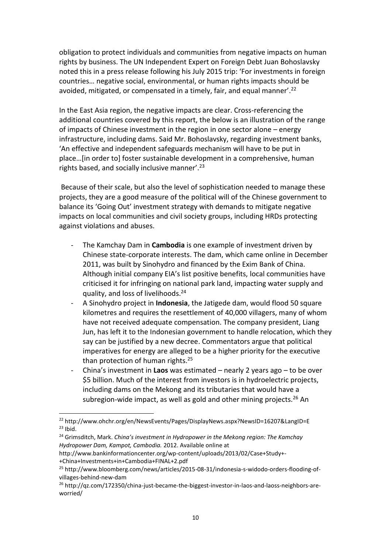obligation to protect individuals and communities from negative impacts on human rights by business. The UN Independent Expert on Foreign Debt Juan Bohoslavsky noted this in a press release following his July 2015 trip: 'For investments in foreign countries… negative social, environmental, or human rights impacts should be avoided, mitigated, or compensated in a timely, fair, and equal manner'.<sup>22</sup>

In the East Asia region, the negative impacts are clear. Cross-referencing the additional countries covered by this report, the below is an illustration of the range of impacts of Chinese investment in the region in one sector alone – energy infrastructure, including dams. Said Mr. Bohoslavsky, regarding investment banks, 'An effective and independent safeguards mechanism will have to be put in place…[in order to] foster sustainable development in a comprehensive, human rights based, and socially inclusive manner'.<sup>23</sup>

Because of their scale, but also the level of sophistication needed to manage these projects, they are a good measure of the political will of the Chinese government to balance its 'Going Out' investment strategy with demands to mitigate negative impacts on local communities and civil society groups, including HRDs protecting against violations and abuses.

- The Kamchay Dam in **Cambodia** is one example of investment driven by Chinese state-corporate interests. The dam, which came online in December 2011, was built by Sinohydro and financed by the Exim Bank of China. Although initial company EIA's list positive benefits, local communities have criticised it for infringing on national park land, impacting water supply and quality, and loss of livelihoods.<sup>24</sup>
- A Sinohydro project in **Indonesia**, the Jatigede dam, would flood 50 square kilometres and requires the resettlement of 40,000 villagers, many of whom have not received adequate compensation. The company president, Liang Jun, has left it to the Indonesian government to handle relocation, which they say can be justified by a new decree. Commentators argue that political imperatives for energy are alleged to be a higher priority for the executive than protection of human rights.<sup>25</sup>
- China's investment in **Laos** was estimated nearly 2 years ago to be over \$5 billion. Much of the interest from investors is in hydroelectric projects, including dams on the Mekong and its tributaries that would have a subregion-wide impact, as well as gold and other mining projects.<sup>26</sup> An

<sup>&</sup>lt;sup>22</sup> http://www.ohchr.org/en/NewsEvents/Pages/DisplayNews.aspx?NewsID=16207&LangID=E  $23$  Ibid.

<sup>24</sup> Grimsditch, Mark. *China's investment in Hydropower in the Mekong region: The Kamchay Hydropower Dam, Kampot, Cambodia.* 2012. Available online at

http://www.bankinformationcenter.org/wp-content/uploads/2013/02/Case+Study+- +China+Investments+in+Cambodia+FINAL+2.pdf

<sup>25</sup> http://www.bloomberg.com/news/articles/2015-08-31/indonesia-s-widodo-orders-flooding-ofvillages-behind-new-dam

<sup>26</sup> http://qz.com/172350/china-just-became-the-biggest-investor-in-laos-and-laoss-neighbors-areworried/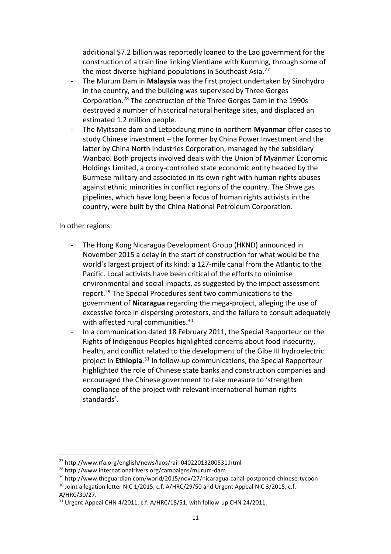additional \$7.2 billion was reportedly loaned to the Lao government for the construction of a train line linking Vientiane with Kunming, through some of the most diverse highland populations in Southeast Asia.<sup>27</sup>

- The Murum Dam in Malaysia was the first project undertaken by Sinohydro in the country, and the building was supervised by Three Gorges Corporation. <sup>28</sup> The construction of the Three Gorges Dam in the 1990s destroyed a number of historical natural heritage sites, and displaced an estimated 1.2 million people.
- The Myitsone dam and Letpadaung mine in northern **Myanmar** offer cases to study Chinese investment – the former by China Power Investment and the latter by China North Industries Corporation, managed by the subsidiary Wanbao. Both projects involved deals with the Union of Myanmar Economic Holdings Limited, a crony-controlled state economic entity headed by the Burmese military and associated in its own right with human rights abuses against ethnic minorities in conflict regions of the country. The Shwe gas pipelines, which have long been a focus of human rights activists in the country, were built by the China National Petroleum Corporation.

#### In other regions:

- The Hong Kong Nicaragua Development Group (HKND) announced in November 2015 a delay in the start of construction for what would be the world's largest project of its kind: a 127-mile canal from the Atlantic to the Pacific. Local activists have been critical of the efforts to minimise environmental and social impacts, as suggested by the impact assessment report. <sup>29</sup> The Special Procedures sent two communications to the government of **Nicaragua** regarding the mega-project, alleging the use of excessive force in dispersing protestors, and the failure to consult adequately with affected rural communities. 30
- In a communication dated 18 February 2011, the Special Rapporteur on the Rights of Indigenous Peoples highlighted concerns about food insecurity, health, and conflict related to the development of the Gibe III hydroelectric project in **Ethiopia**. <sup>31</sup> In follow-up communications, the Special Rapporteur highlighted the role of Chinese state banks and construction companies and encouraged the Chinese government to take measure to 'strengthen compliance of the project with relevant international human rights standards'.

<sup>27</sup> http://www.rfa.org/english/news/laos/rail-04022013200531.html

<sup>28</sup> http://www.internationalrivers.org/campaigns/murum-dam

<sup>29</sup> http://www.theguardian.com/world/2015/nov/27/nicaragua-canal-postponed-chinese-tycoon

<sup>&</sup>lt;sup>30</sup> Joint allegation letter NIC 1/2015, c.f. A/HRC/29/50 and Urgent Appeal NIC 3/2015, c.f. A/HRC/30/27.

<sup>&</sup>lt;sup>31</sup> Urgent Appeal CHN 4/2011, c.f. A/HRC/18/51, with follow-up CHN 24/2011.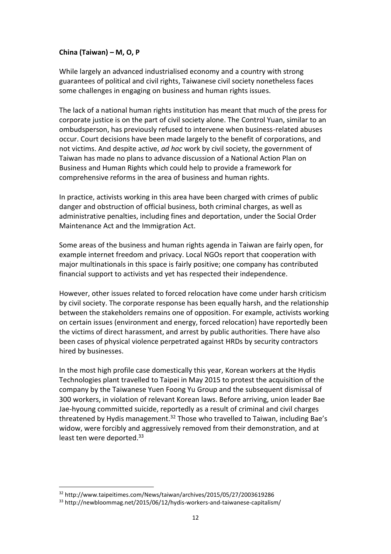# **China (Taiwan) – M, O, P**

While largely an advanced industrialised economy and a country with strong guarantees of political and civil rights, Taiwanese civil society nonetheless faces some challenges in engaging on business and human rights issues.

The lack of a national human rights institution has meant that much of the press for corporate justice is on the part of civil society alone. The Control Yuan, similar to an ombudsperson, has previously refused to intervene when business-related abuses occur. Court decisions have been made largely to the benefit of corporations, and not victims. And despite active, *ad hoc* work by civil society, the government of Taiwan has made no plans to advance discussion of a National Action Plan on Business and Human Rights which could help to provide a framework for comprehensive reforms in the area of business and human rights.

In practice, activists working in this area have been charged with crimes of public danger and obstruction of official business, both criminal charges, as well as administrative penalties, including fines and deportation, under the Social Order Maintenance Act and the Immigration Act.

Some areas of the business and human rights agenda in Taiwan are fairly open, for example internet freedom and privacy. Local NGOs report that cooperation with major multinationals in this space is fairly positive; one company has contributed financial support to activists and yet has respected their independence.

However, other issues related to forced relocation have come under harsh criticism by civil society. The corporate response has been equally harsh, and the relationship between the stakeholders remains one of opposition. For example, activists working on certain issues (environment and energy, forced relocation) have reportedly been the victims of direct harassment, and arrest by public authorities. There have also been cases of physical violence perpetrated against HRDs by security contractors hired by businesses.

In the most high profile case domestically this year, Korean workers at the Hydis Technologies plant travelled to Taipei in May 2015 to protest the acquisition of the company by the Taiwanese Yuen Foong Yu Group and the subsequent dismissal of 300 workers, in violation of relevant Korean laws. Before arriving, union leader Bae Jae-hyoung committed suicide, reportedly as a result of criminal and civil charges threatened by Hydis management.<sup>32</sup> Those who travelled to Taiwan, including Bae's widow, were forcibly and aggressively removed from their demonstration, and at least ten were deported.<sup>33</sup>

<sup>32</sup> http://www.taipeitimes.com/News/taiwan/archives/2015/05/27/2003619286

<sup>33</sup> http://newbloommag.net/2015/06/12/hydis-workers-and-taiwanese-capitalism/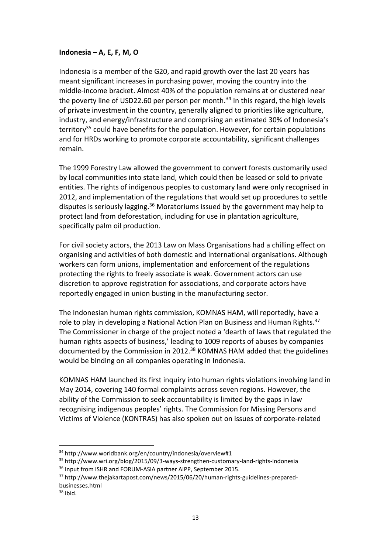## **Indonesia – A, E, F, M, O**

Indonesia is a member of the G20, and rapid growth over the last 20 years has meant significant increases in purchasing power, moving the country into the middle-income bracket. Almost 40% of the population remains at or clustered near the poverty line of USD22.60 per person per month.<sup>34</sup> In this regard, the high levels of private investment in the country, generally aligned to priorities like agriculture, industry, and energy/infrastructure and comprising an estimated 30% of Indonesia's territory<sup>35</sup> could have benefits for the population. However, for certain populations and for HRDs working to promote corporate accountability, significant challenges remain.

The 1999 Forestry Law allowed the government to convert forests customarily used by local communities into state land, which could then be leased or sold to private entities. The rights of indigenous peoples to customary land were only recognised in 2012, and implementation of the regulations that would set up procedures to settle disputes is seriously lagging.<sup>36</sup> Moratoriums issued by the government may help to protect land from deforestation, including for use in plantation agriculture, specifically palm oil production.

For civil society actors, the 2013 Law on Mass Organisations had a chilling effect on organising and activities of both domestic and international organisations. Although workers can form unions, implementation and enforcement of the regulations protecting the rights to freely associate is weak. Government actors can use discretion to approve registration for associations, and corporate actors have reportedly engaged in union busting in the manufacturing sector.

The Indonesian human rights commission, KOMNAS HAM, will reportedly, have a role to play in developing a National Action Plan on Business and Human Rights.<sup>37</sup> The Commissioner in charge of the project noted a 'dearth of laws that regulated the human rights aspects of business,' leading to 1009 reports of abuses by companies documented by the Commission in 2012.<sup>38</sup> KOMNAS HAM added that the guidelines would be binding on all companies operating in Indonesia.

KOMNAS HAM launched its first inquiry into human rights violations involving land in May 2014, covering 140 formal complaints across seven regions. However, the ability of the Commission to seek accountability is limited by the gaps in law recognising indigenous peoples' rights. The Commission for Missing Persons and Victims of Violence (KONTRAS) has also spoken out on issues of corporate-related

<sup>34</sup> http://www.worldbank.org/en/country/indonesia/overview#1

<sup>35</sup> http://www.wri.org/blog/2015/09/3-ways-strengthen-customary-land-rights-indonesia

<sup>36</sup> Input from ISHR and FORUM-ASIA partner AIPP, September 2015.

<sup>37</sup> http://www.thejakartapost.com/news/2015/06/20/human-rights-guidelines-preparedbusinesses.html

 $38$  Ibid.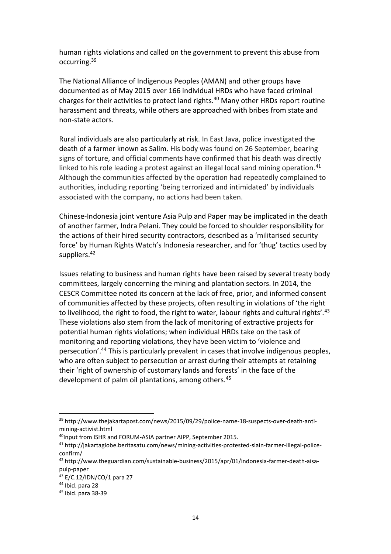human rights violations and called on the government to prevent this abuse from occurring.<sup>39</sup>

The National Alliance of Indigenous Peoples (AMAN) and other groups have documented as of May 2015 over 166 individual HRDs who have faced criminal charges for their activities to protect land rights.<sup>40</sup> Many other HRDs report routine harassment and threats, while others are approached with bribes from state and non-state actors.

Rural individuals are also particularly at risk. In East Java, police investigated the death of a farmer known as Salim. His body was found on 26 September, bearing signs of torture, and official comments have confirmed that his death was directly linked to his role leading a protest against an illegal local sand mining operation.<sup>41</sup> Although the communities affected by the operation had repeatedly complained to authorities, including reporting 'being terrorized and intimidated' by individuals associated with the company, no actions had been taken.

Chinese-Indonesia joint venture Asia Pulp and Paper may be implicated in the death of another farmer, Indra Pelani. They could be forced to shoulder responsibility for the actions of their hired security contractors, described as a 'militarised security force' by Human Rights Watch's Indonesia researcher, and for 'thug' tactics used by suppliers.<sup>42</sup>

Issues relating to business and human rights have been raised by several treaty body committees, largely concerning the mining and plantation sectors. In 2014, the CESCR Committee noted its concern at the lack of free, prior, and informed consent of communities affected by these projects, often resulting in violations of 'the right to livelihood, the right to food, the right to water, labour rights and cultural rights'.<sup>43</sup> These violations also stem from the lack of monitoring of extractive projects for potential human rights violations; when individual HRDs take on the task of monitoring and reporting violations, they have been victim to 'violence and persecution'.<sup>44</sup> This is particularly prevalent in cases that involve indigenous peoples, who are often subject to persecution or arrest during their attempts at retaining their 'right of ownership of customary lands and forests' in the face of the development of palm oil plantations, among others.<sup>45</sup>

<sup>39</sup> http://www.thejakartapost.com/news/2015/09/29/police-name-18-suspects-over-death-antimining-activist.html

<sup>&</sup>lt;sup>40</sup>Input from ISHR and FORUM-ASIA partner AIPP, September 2015.

<sup>41</sup> http://jakartaglobe.beritasatu.com/news/mining-activities-protested-slain-farmer-illegal-policeconfirm/

<sup>42</sup> http://www.theguardian.com/sustainable-business/2015/apr/01/indonesia-farmer-death-aisapulp-paper

<sup>43</sup> E/C.12/IDN/CO/1 para 27

<sup>44</sup> Ibid. para 28

<sup>45</sup> Ibid. para 38-39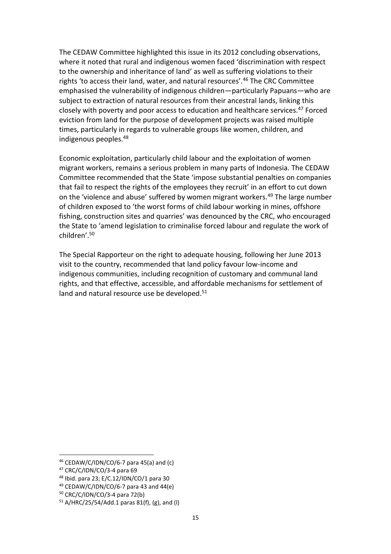The CEDAW Committee highlighted this issue in its 2012 concluding observations, where it noted that rural and indigenous women faced 'discrimination with respect to the ownership and inheritance of land' as well as suffering violations to their rights 'to access their land, water, and natural resources'.<sup>46</sup> The CRC Committee emphasised the vulnerability of indigenous children—particularly Papuans—who are subject to extraction of natural resources from their ancestral lands, linking this closely with poverty and poor access to education and healthcare services.<sup>47</sup> Forced eviction from land for the purpose of development projects was raised multiple times, particularly in regards to vulnerable groups like women, children, and indigenous peoples.<sup>48</sup>

Economic exploitation, particularly child labour and the exploitation of women migrant workers, remains a serious problem in many parts of Indonesia. The CEDAW Committee recommended that the State 'impose substantial penalties on companies that fail to respect the rights of the employees they recruit' in an effort to cut down on the 'violence and abuse' suffered by women migrant workers.<sup>49</sup> The large number of children exposed to 'the worst forms of child labour working in mines, offshore fishing, construction sites and quarries' was denounced by the CRC, who encouraged the State to 'amend legislation to criminalise forced labour and regulate the work of children'.<sup>50</sup>

The Special Rapporteur on the right to adequate housing, following her June 2013 visit to the country, recommended that land policy favour low-income and indigenous communities, including recognition of customary and communal land rights, and that effective, accessible, and affordable mechanisms for settlement of land and natural resource use be developed.<sup>51</sup>

 $46$  CEDAW/C/IDN/CO/6-7 para 45(a) and (c)

<sup>47</sup> CRC/C/IDN/CO/3-4 para 69

<sup>48</sup> Ibid. para 23; E/C.12/IDN/CO/1 para 30

 $49$  CEDAW/C/IDN/CO/6-7 para 43 and 44(e)

<sup>50</sup> CRC/C/IDN/CO/3-4 para 72(b)

 $51$  A/HRC/25/54/Add.1 paras 81(f), (g), and (l)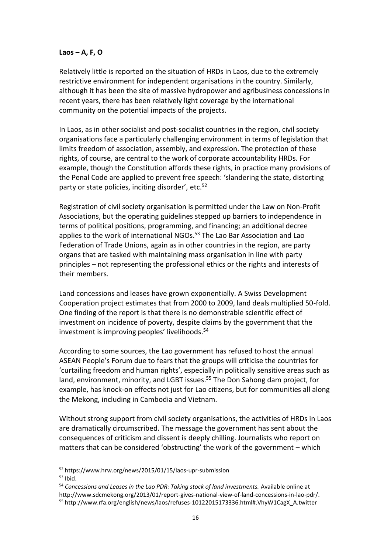#### **Laos – A, F, O**

Relatively little is reported on the situation of HRDs in Laos, due to the extremely restrictive environment for independent organisations in the country. Similarly, although it has been the site of massive hydropower and agribusiness concessions in recent years, there has been relatively light coverage by the international community on the potential impacts of the projects.

In Laos, as in other socialist and post-socialist countries in the region, civil society organisations face a particularly challenging environment in terms of legislation that limits freedom of association, assembly, and expression. The protection of these rights, of course, are central to the work of corporate accountability HRDs. For example, though the Constitution affords these rights, in practice many provisions of the Penal Code are applied to prevent free speech: 'slandering the state, distorting party or state policies, inciting disorder', etc.<sup>52</sup>

Registration of civil society organisation is permitted under the Law on Non-Profit Associations, but the operating guidelines stepped up barriers to independence in terms of political positions, programming, and financing; an additional decree applies to the work of international NGOs.<sup>53</sup> The Lao Bar Association and Lao Federation of Trade Unions, again as in other countries in the region, are party organs that are tasked with maintaining mass organisation in line with party principles – not representing the professional ethics or the rights and interests of their members.

Land concessions and leases have grown exponentially. A Swiss Development Cooperation project estimates that from 2000 to 2009, land deals multiplied 50-fold. One finding of the report is that there is no demonstrable scientific effect of investment on incidence of poverty, despite claims by the government that the investment is improving peoples' livelihoods. 54

According to some sources, the Lao government has refused to host the annual ASEAN People's Forum due to fears that the groups will criticise the countries for 'curtailing freedom and human rights', especially in politically sensitive areas such as land, environment, minority, and LGBT issues. <sup>55</sup> The Don Sahong dam project, for example, has knock-on effects not just for Lao citizens, but for communities all along the Mekong, including in Cambodia and Vietnam.

Without strong support from civil society organisations, the activities of HRDs in Laos are dramatically circumscribed. The message the government has sent about the consequences of criticism and dissent is deeply chilling. Journalists who report on matters that can be considered 'obstructing' the work of the government – which

<sup>52</sup> https://www.hrw.org/news/2015/01/15/laos-upr-submission

 $53$  Ibid.

<sup>&</sup>lt;sup>54</sup> Concessions and Leases in the Lao PDR: Taking stock of land investments. Available online at http://www.sdcmekong.org/2013/01/report-gives-national-view-of-land-concessions-in-lao-pdr/. <sup>55</sup> http://www.rfa.org/english/news/laos/refuses-10122015173336.html#.VhyW1CagX\_A.twitter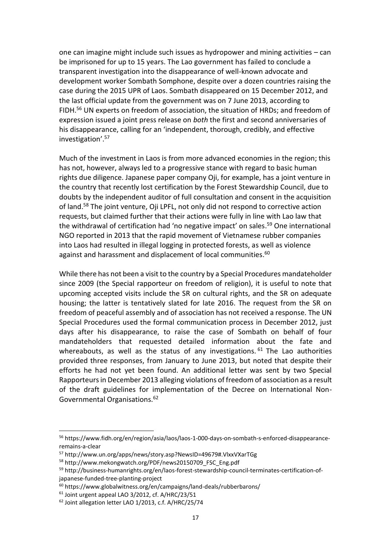one can imagine might include such issues as hydropower and mining activities – can be imprisoned for up to 15 years. The Lao government has failed to conclude a transparent investigation into the disappearance of well-known advocate and development worker Sombath Somphone, despite over a dozen countries raising the case during the 2015 UPR of Laos. Sombath disappeared on 15 December 2012, and the last official update from the government was on 7 June 2013, according to FIDH.<sup>56</sup> UN experts on freedom of association, the situation of HRDs; and freedom of expression issued a joint press release on *both* the first and second anniversaries of his disappearance, calling for an 'independent, thorough, credibly, and effective investigation'. 57

Much of the investment in Laos is from more advanced economies in the region; this has not, however, always led to a progressive stance with regard to basic human rights due diligence. Japanese paper company Oji, for example, has a joint venture in the country that recently lost certification by the Forest Stewardship Council, due to doubts by the independent auditor of full consultation and consent in the acquisition of land.<sup>58</sup> The joint venture, Oji LPFL, not only did not respond to corrective action requests, but claimed further that their actions were fully in line with Lao law that the withdrawal of certification had 'no negative impact' on sales. <sup>59</sup> One international NGO reported in 2013 that the rapid movement of Vietnamese rubber companies into Laos had resulted in illegal logging in protected forests, as well as violence against and harassment and displacement of local communities.<sup>60</sup>

While there has not been a visit to the country by a Special Procedures mandateholder since 2009 (the Special rapporteur on freedom of religion), it is useful to note that upcoming accepted visits include the SR on cultural rights, and the SR on adequate housing; the latter is tentatively slated for late 2016. The request from the SR on freedom of peaceful assembly and of association has not received a response. The UN Special Procedures used the formal communication process in December 2012, just days after his disappearance, to raise the case of Sombath on behalf of four mandateholders that requested detailed information about the fate and whereabouts, as well as the status of any investigations.  $61$  The Lao authorities provided three responses, from January to June 2013, but noted that despite their efforts he had not yet been found. An additional letter was sent by two Special Rapporteurs in December 2013 alleging violations of freedom of association as a result of the draft guidelines for implementation of the Decree on International Non-Governmental Organisations.<sup>62</sup>

<sup>56</sup> https://www.fidh.org/en/region/asia/laos/laos-1-000-days-on-sombath-s-enforced-disappearanceremains-a-clear

<sup>57</sup> http://www.un.org/apps/news/story.asp?NewsID=49679#.VlxxVXarTGg

<sup>58</sup> http://www.mekongwatch.org/PDF/news20150709\_FSC\_Eng.pdf

<sup>59</sup> http://business-humanrights.org/en/laos-forest-stewardship-council-terminates-certification-ofjapanese-funded-tree-planting-project

<sup>60</sup> https://www.globalwitness.org/en/campaigns/land-deals/rubberbarons/

 $61$  Joint urgent appeal LAO 3/2012, cf. A/HRC/23/51

<sup>62</sup> Joint allegation letter LAO 1/2013, c.f. A/HRC/25/74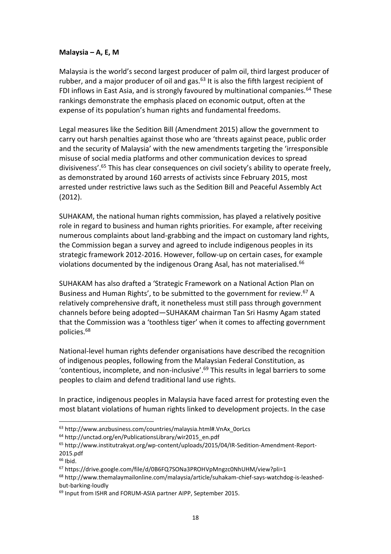#### **Malaysia – A, E, M**

Malaysia is the world's second largest producer of palm oil, third largest producer of rubber, and a major producer of oil and gas. $63$  It is also the fifth largest recipient of FDI inflows in East Asia, and is strongly favoured by multinational companies.<sup>64</sup> These rankings demonstrate the emphasis placed on economic output, often at the expense of its population's human rights and fundamental freedoms.

Legal measures like the Sedition Bill (Amendment 2015) allow the government to carry out harsh penalties against those who are 'threats against peace, public order and the security of Malaysia' with the new amendments targeting the 'irresponsible misuse of social media platforms and other communication devices to spread divisiveness'.<sup>65</sup> This has clear consequences on civil society's ability to operate freely, as demonstrated by around 160 arrests of activists since February 2015, most arrested under restrictive laws such as the Sedition Bill and Peaceful Assembly Act (2012).

SUHAKAM, the national human rights commission, has played a relatively positive role in regard to business and human rights priorities. For example, after receiving numerous complaints about land-grabbing and the impact on customary land rights, the Commission began a survey and agreed to include indigenous peoples in its strategic framework 2012-2016. However, follow-up on certain cases, for example violations documented by the indigenous Orang Asal, has not materialised.<sup>66</sup>

SUHAKAM has also drafted a 'Strategic Framework on a National Action Plan on Business and Human Rights', to be submitted to the government for review.<sup>67</sup> A relatively comprehensive draft, it nonetheless must still pass through government channels before being adopted—SUHAKAM chairman Tan Sri Hasmy Agam stated that the Commission was a 'toothless tiger' when it comes to affecting government policies.<sup>68</sup>

National-level human rights defender organisations have described the recognition of indigenous peoples, following from the Malaysian Federal Constitution, as 'contentious, incomplete, and non-inclusive'. $69$  This results in legal barriers to some peoples to claim and defend traditional land use rights.

In practice, indigenous peoples in Malaysia have faced arrest for protesting even the most blatant violations of human rights linked to development projects. In the case

<sup>63</sup> http://www.anzbusiness.com/countries/malaysia.html#.VnAx\_0orLcs

<sup>64</sup> http://unctad.org/en/PublicationsLibrary/wir2015\_en.pdf

<sup>65</sup> http://www.institutrakyat.org/wp-content/uploads/2015/04/IR-Sedition-Amendment-Report-2015.pdf

 $66$  Ibid.

<sup>67</sup> https://drive.google.com/file/d/0B6FQ7SONa3PROHVpMngzc0NhUHM/view?pli=1

<sup>68</sup> http://www.themalaymailonline.com/malaysia/article/suhakam-chief-says-watchdog-is-leashedbut-barking-loudly

<sup>69</sup> Input from ISHR and FORUM-ASIA partner AIPP, September 2015.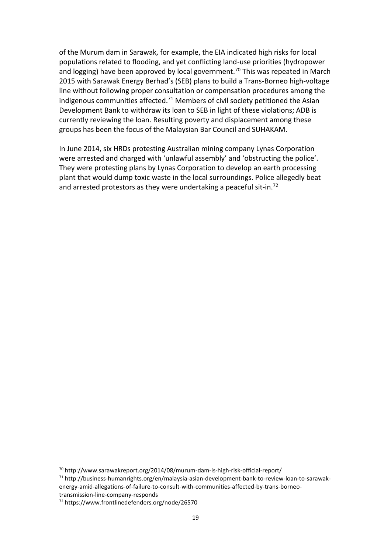of the Murum dam in Sarawak, for example, the EIA indicated high risks for local populations related to flooding, and yet conflicting land-use priorities (hydropower and logging) have been approved by local government.<sup>70</sup> This was repeated in March 2015 with Sarawak Energy Berhad's (SEB) plans to build a Trans-Borneo high-voltage line without following proper consultation or compensation procedures among the indigenous communities affected.<sup>71</sup> Members of civil society petitioned the Asian Development Bank to withdraw its loan to SEB in light of these violations; ADB is currently reviewing the loan. Resulting poverty and displacement among these groups has been the focus of the Malaysian Bar Council and SUHAKAM.

In June 2014, six HRDs protesting Australian mining company Lynas Corporation were arrested and charged with 'unlawful assembly' and 'obstructing the police'. They were protesting plans by Lynas Corporation to develop an earth processing plant that would dump toxic waste in the local surroundings. Police allegedly beat and arrested protestors as they were undertaking a peaceful sit-in.<sup>72</sup>

transmission-line-company-responds

 $\overline{a}$ <sup>70</sup> http://www.sarawakreport.org/2014/08/murum-dam-is-high-risk-official-report/

<sup>71</sup> http://business-humanrights.org/en/malaysia-asian-development-bank-to-review-loan-to-sarawakenergy-amid-allegations-of-failure-to-consult-with-communities-affected-by-trans-borneo-

<sup>72</sup> https://www.frontlinedefenders.org/node/26570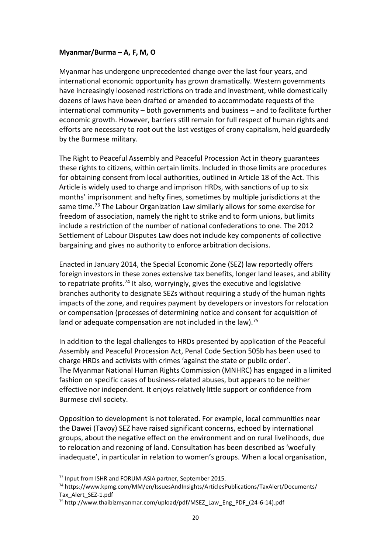# **Myanmar/Burma – A, F, M, O**

Myanmar has undergone unprecedented change over the last four years, and international economic opportunity has grown dramatically. Western governments have increasingly loosened restrictions on trade and investment, while domestically dozens of laws have been drafted or amended to accommodate requests of the international community – both governments and business – and to facilitate further economic growth. However, barriers still remain for full respect of human rights and efforts are necessary to root out the last vestiges of crony capitalism, held guardedly by the Burmese military.

The Right to Peaceful Assembly and Peaceful Procession Act in theory guarantees these rights to citizens, within certain limits. Included in those limits are procedures for obtaining consent from local authorities, outlined in Article 18 of the Act. This Article is widely used to charge and imprison HRDs, with sanctions of up to six months' imprisonment and hefty fines, sometimes by multiple jurisdictions at the same time.<sup>73</sup> The Labour Organization Law similarly allows for some exercise for freedom of association, namely the right to strike and to form unions, but limits include a restriction of the number of national confederations to one. The 2012 Settlement of Labour Disputes Law does not include key components of collective bargaining and gives no authority to enforce arbitration decisions.

Enacted in January 2014, the Special Economic Zone (SEZ) law reportedly offers foreign investors in these zones extensive tax benefits, longer land leases, and ability to repatriate profits.<sup>74</sup> It also, worryingly, gives the executive and legislative branches authority to designate SEZs without requiring a study of the human rights impacts of the zone, and requires payment by developers or investors for relocation or compensation (processes of determining notice and consent for acquisition of land or adequate compensation are not included in the law).<sup>75</sup>

In addition to the legal challenges to HRDs presented by application of the Peaceful Assembly and Peaceful Procession Act, Penal Code Section 505b has been used to charge HRDs and activists with crimes 'against the state or public order'. The Myanmar National Human Rights Commission (MNHRC) has engaged in a limited fashion on specific cases of business-related abuses, but appears to be neither effective nor independent. It enjoys relatively little support or confidence from Burmese civil society.

Opposition to development is not tolerated. For example, local communities near the Dawei (Tavoy) SEZ have raised significant concerns, echoed by international groups, about the negative effect on the environment and on rural livelihoods, due to relocation and rezoning of land. Consultation has been described as 'woefully inadequate', in particular in relation to women's groups. When a local organisation,

<sup>73</sup> Input from ISHR and FORUM-ASIA partner, September 2015.

<sup>74</sup> https://www.kpmg.com/MM/en/IssuesAndInsights/ArticlesPublications/TaxAlert/Documents/ Tax\_Alert\_SEZ-1.pdf

<sup>75</sup> http://www.thaibizmyanmar.com/upload/pdf/MSEZ\_Law\_Eng\_PDF\_(24-6-14).pdf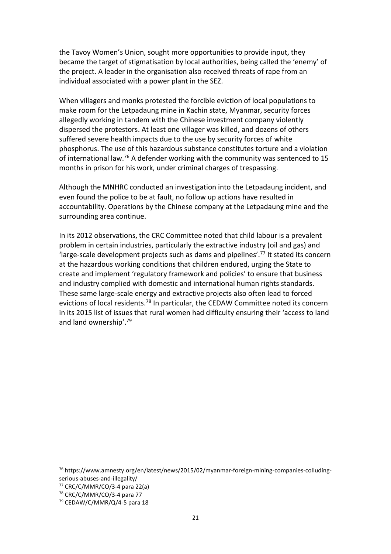the Tavoy Women's Union, sought more opportunities to provide input, they became the target of stigmatisation by local authorities, being called the 'enemy' of the project. A leader in the organisation also received threats of rape from an individual associated with a power plant in the SEZ.

When villagers and monks protested the forcible eviction of local populations to make room for the Letpadaung mine in Kachin state, Myanmar, security forces allegedly working in tandem with the Chinese investment company violently dispersed the protestors. At least one villager was killed, and dozens of others suffered severe health impacts due to the use by security forces of white phosphorus. The use of this hazardous substance constitutes torture and a violation of international law.<sup>76</sup> A defender working with the community was sentenced to 15 months in prison for his work, under criminal charges of trespassing.

Although the MNHRC conducted an investigation into the Letpadaung incident, and even found the police to be at fault, no follow up actions have resulted in accountability. Operations by the Chinese company at the Letpadaung mine and the surrounding area continue.

In its 2012 observations, the CRC Committee noted that child labour is a prevalent problem in certain industries, particularly the extractive industry (oil and gas) and 'large-scale development projects such as dams and pipelines'.<sup>77</sup> It stated its concern at the hazardous working conditions that children endured, urging the State to create and implement 'regulatory framework and policies' to ensure that business and industry complied with domestic and international human rights standards. These same large-scale energy and extractive projects also often lead to forced evictions of local residents.<sup>78</sup> In particular, the CEDAW Committee noted its concern in its 2015 list of issues that rural women had difficulty ensuring their 'access to land and land ownership'.<sup>79</sup>

<sup>&</sup>lt;sup>76</sup> https://www.amnesty.org/en/latest/news/2015/02/myanmar-foreign-mining-companies-colludingserious-abuses-and-illegality/

 $77$  CRC/C/MMR/CO/3-4 para 22(a)

<sup>78</sup> CRC/C/MMR/CO/3-4 para 77

<sup>79</sup> CEDAW/C/MMR/Q/4-5 para 18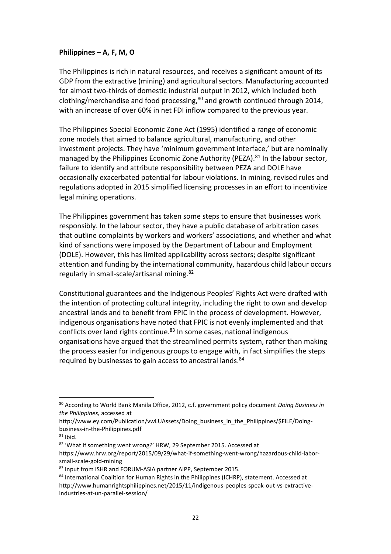## **Philippines – A, F, M, O**

The Philippines is rich in natural resources, and receives a significant amount of its GDP from the extractive (mining) and agricultural sectors. Manufacturing accounted for almost two-thirds of domestic industrial output in 2012, which included both clothing/merchandise and food processing, <sup>80</sup> and growth continued through 2014, with an increase of over 60% in net FDI inflow compared to the previous year.

The Philippines Special Economic Zone Act (1995) identified a range of economic zone models that aimed to balance agricultural, manufacturing, and other investment projects. They have 'minimum government interface,' but are nominally managed by the Philippines Economic Zone Authority (PEZA).<sup>81</sup> In the labour sector, failure to identify and attribute responsibility between PEZA and DOLE have occasionally exacerbated potential for labour violations. In mining, revised rules and regulations adopted in 2015 simplified licensing processes in an effort to incentivize legal mining operations.

The Philippines government has taken some steps to ensure that businesses work responsibly. In the labour sector, they have a public database of arbitration cases that outline complaints by workers and workers' associations, and whether and what kind of sanctions were imposed by the Department of Labour and Employment (DOLE). However, this has limited applicability across sectors; despite significant attention and funding by the international community, hazardous child labour occurs regularly in small-scale/artisanal mining.<sup>82</sup>

Constitutional guarantees and the Indigenous Peoples' Rights Act were drafted with the intention of protecting cultural integrity, including the right to own and develop ancestral lands and to benefit from FPIC in the process of development. However, indigenous organisations have noted that FPIC is not evenly implemented and that conflicts over land rights continue.<sup>83</sup> In some cases, national indigenous organisations have argued that the streamlined permits system, rather than making the process easier for indigenous groups to engage with, in fact simplifies the steps required by businesses to gain access to ancestral lands.<sup>84</sup>

<sup>80</sup> According to World Bank Manila Office, 2012, c.f. government policy document *Doing Business in the Philippines,* accessed at

http://www.ey.com/Publication/vwLUAssets/Doing\_business\_in\_the\_Philippines/\$FILE/Doingbusiness-in-the-Philippines.pdf

 $81$  Ibid.

<sup>82</sup> 'What if something went wrong?' HRW, 29 September 2015. Accessed at

https://www.hrw.org/report/2015/09/29/what-if-something-went-wrong/hazardous-child-laborsmall-scale-gold-mining

<sup>83</sup> Input from ISHR and FORUM-ASIA partner AIPP, September 2015.

<sup>84</sup> International Coalition for Human Rights in the Philippines (ICHRP), statement. Accessed at http://www.humanrightsphilippines.net/2015/11/indigenous-peoples-speak-out-vs-extractiveindustries-at-un-parallel-session/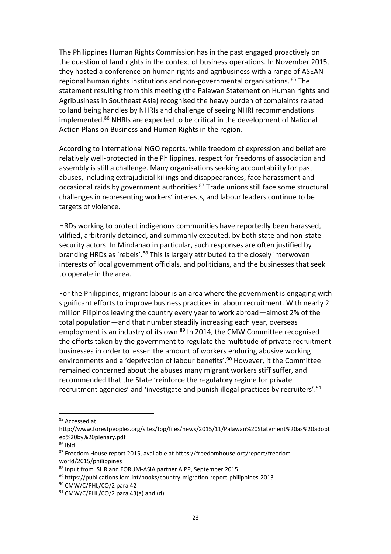The Philippines Human Rights Commission has in the past engaged proactively on the question of land rights in the context of business operations. In November 2015, they hosted a conference on human rights and agribusiness with a range of ASEAN regional human rights institutions and non-governmental organisations. <sup>85</sup> The statement resulting from this meeting (the Palawan Statement on Human rights and Agribusiness in Southeast Asia) recognised the heavy burden of complaints related to land being handles by NHRIs and challenge of seeing NHRI recommendations implemented.<sup>86</sup> NHRIs are expected to be critical in the development of National Action Plans on Business and Human Rights in the region.

According to international NGO reports, while freedom of expression and belief are relatively well-protected in the Philippines, respect for freedoms of association and assembly is still a challenge. Many organisations seeking accountability for past abuses, including extrajudicial killings and disappearances, face harassment and occasional raids by government authorities.<sup>87</sup> Trade unions still face some structural challenges in representing workers' interests, and labour leaders continue to be targets of violence.

HRDs working to protect indigenous communities have reportedly been harassed, vilified, arbitrarily detained, and summarily executed, by both state and non-state security actors. In Mindanao in particular, such responses are often justified by branding HRDs as 'rebels'.<sup>88</sup> This is largely attributed to the closely interwoven interests of local government officials, and politicians, and the businesses that seek to operate in the area.

For the Philippines, migrant labour is an area where the government is engaging with significant efforts to improve business practices in labour recruitment. With nearly 2 million Filipinos leaving the country every year to work abroad—almost 2% of the total population—and that number steadily increasing each year, overseas employment is an industry of its own.<sup>89</sup> In 2014, the CMW Committee recognised the efforts taken by the government to regulate the multitude of private recruitment businesses in order to lessen the amount of workers enduring abusive working environments and a 'deprivation of labour benefits'.<sup>90</sup> However, it the Committee remained concerned about the abuses many migrant workers stiff suffer, and recommended that the State 'reinforce the regulatory regime for private recruitment agencies' and 'investigate and punish illegal practices by recruiters'.<sup>91</sup>

<sup>85</sup> Accessed at

http://www.forestpeoples.org/sites/fpp/files/news/2015/11/Palawan%20Statement%20as%20adopt ed%20by%20plenary.pdf

 $86$  Ibid.

<sup>87</sup> Freedom House report 2015, available at https://freedomhouse.org/report/freedomworld/2015/philippines

<sup>88</sup> Input from ISHR and FORUM-ASIA partner AIPP, September 2015.

<sup>89</sup> https://publications.iom.int/books/country-migration-report-philippines-2013

<sup>90</sup> CMW/C/PHL/CO/2 para 42

 $91$  CMW/C/PHL/CO/2 para 43(a) and (d)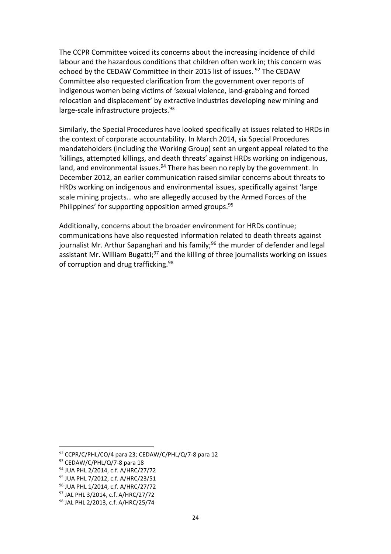The CCPR Committee voiced its concerns about the increasing incidence of child labour and the hazardous conditions that children often work in; this concern was echoed by the CEDAW Committee in their 2015 list of issues.<sup>92</sup> The CEDAW Committee also requested clarification from the government over reports of indigenous women being victims of 'sexual violence, land-grabbing and forced relocation and displacement' by extractive industries developing new mining and large-scale infrastructure projects.<sup>93</sup>

Similarly, the Special Procedures have looked specifically at issues related to HRDs in the context of corporate accountability. In March 2014, six Special Procedures mandateholders (including the Working Group) sent an urgent appeal related to the 'killings, attempted killings, and death threats' against HRDs working on indigenous, land, and environmental issues.<sup>94</sup> There has been no reply by the government. In December 2012, an earlier communication raised similar concerns about threats to HRDs working on indigenous and environmental issues, specifically against 'large scale mining projects… who are allegedly accused by the Armed Forces of the Philippines' for supporting opposition armed groups.<sup>95</sup>

Additionally, concerns about the broader environment for HRDs continue; communications have also requested information related to death threats against journalist Mr. Arthur Sapanghari and his family;<sup>96</sup> the murder of defender and legal assistant Mr. William Bugatti;<sup>97</sup> and the killing of three journalists working on issues of corruption and drug trafficking.<sup>98</sup>

 $92$  CCPR/C/PHL/CO/4 para 23; CEDAW/C/PHL/Q/7-8 para 12

<sup>93</sup> CEDAW/C/PHL/Q/7-8 para 18

<sup>94</sup> JUA PHL 2/2014, c.f. A/HRC/27/72

<sup>95</sup> JUA PHL 7/2012, c.f. A/HRC/23/51

<sup>96</sup> JUA PHL 1/2014, c.f. A/HRC/27/72

<sup>97</sup> JAL PHL 3/2014, c.f. A/HRC/27/72

<sup>98</sup> JAL PHL 2/2013, c.f. A/HRC/25/74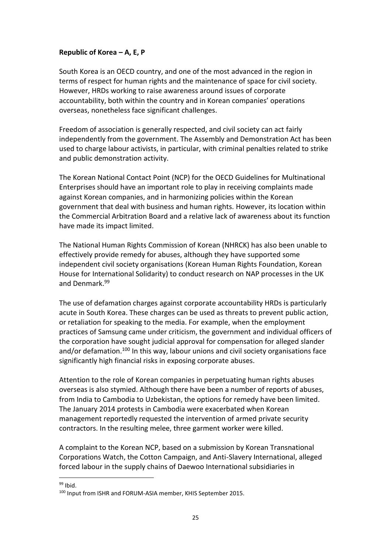# **Republic of Korea – A, E, P**

South Korea is an OECD country, and one of the most advanced in the region in terms of respect for human rights and the maintenance of space for civil society. However, HRDs working to raise awareness around issues of corporate accountability, both within the country and in Korean companies' operations overseas, nonetheless face significant challenges.

Freedom of association is generally respected, and civil society can act fairly independently from the government. The Assembly and Demonstration Act has been used to charge labour activists, in particular, with criminal penalties related to strike and public demonstration activity.

The Korean National Contact Point (NCP) for the OECD Guidelines for Multinational Enterprises should have an important role to play in receiving complaints made against Korean companies, and in harmonizing policies within the Korean government that deal with business and human rights. However, its location within the Commercial Arbitration Board and a relative lack of awareness about its function have made its impact limited.

The National Human Rights Commission of Korean (NHRCK) has also been unable to effectively provide remedy for abuses, although they have supported some independent civil society organisations (Korean Human Rights Foundation, Korean House for International Solidarity) to conduct research on NAP processes in the UK and Denmark. 99

The use of defamation charges against corporate accountability HRDs is particularly acute in South Korea. These charges can be used as threats to prevent public action, or retaliation for speaking to the media. For example, when the employment practices of Samsung came under criticism, the government and individual officers of the corporation have sought judicial approval for compensation for alleged slander and/or defamation.<sup>100</sup> In this way, labour unions and civil society organisations face significantly high financial risks in exposing corporate abuses.

Attention to the role of Korean companies in perpetuating human rights abuses overseas is also stymied. Although there have been a number of reports of abuses, from India to Cambodia to Uzbekistan, the options for remedy have been limited. The January 2014 protests in Cambodia were exacerbated when Korean management reportedly requested the intervention of armed private security contractors. In the resulting melee, three garment worker were killed.

A complaint to the Korean NCP, based on a submission by Korean Transnational Corporations Watch, the Cotton Campaign, and Anti-Slavery International, alleged forced labour in the supply chains of Daewoo International subsidiaries in

 $\overline{a}$  $99$  Ibid.

<sup>100</sup> Input from ISHR and FORUM-ASIA member, KHIS September 2015.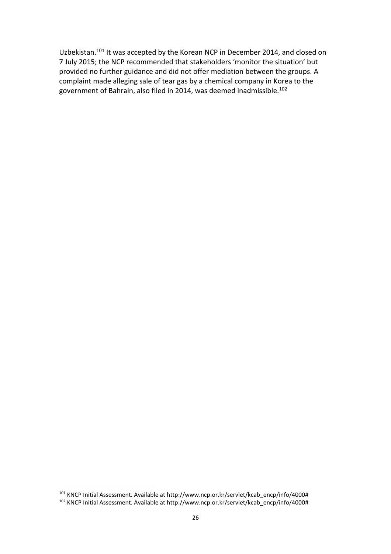Uzbekistan.<sup>101</sup> It was accepted by the Korean NCP in December 2014, and closed on 7 July 2015; the NCP recommended that stakeholders 'monitor the situation' but provided no further guidance and did not offer mediation between the groups. A complaint made alleging sale of tear gas by a chemical company in Korea to the government of Bahrain, also filed in 2014, was deemed inadmissible.<sup>102</sup>

<sup>101</sup> KNCP Initial Assessment. Available at http://www.ncp.or.kr/servlet/kcab\_encp/info/4000# <sup>102</sup> KNCP Initial Assessment. Available at http://www.ncp.or.kr/servlet/kcab\_encp/info/4000#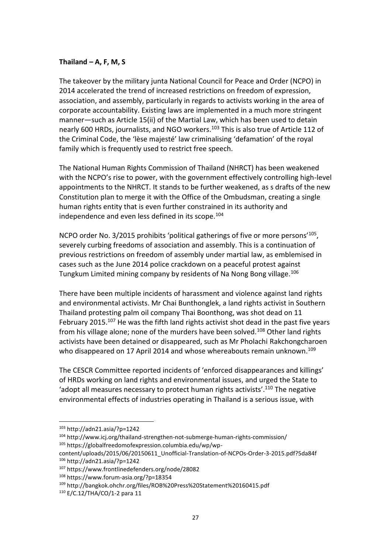#### **Thailand – A, F, M, S**

The takeover by the military junta National Council for Peace and Order (NCPO) in 2014 accelerated the trend of increased restrictions on freedom of expression, association, and assembly, particularly in regards to activists working in the area of corporate accountability. Existing laws are implemented in a much more stringent manner—such as Article 15(ii) of the Martial Law, which has been used to detain nearly 600 HRDs, journalists, and NGO workers.<sup>103</sup> This is also true of Article 112 of the Criminal Code, the 'lèse majesté' law criminalising 'defamation' of the royal family which is frequently used to restrict free speech.

The National Human Rights Commission of Thailand (NHRCT) has been weakened with the NCPO's rise to power, with the government effectively controlling high-level appointments to the NHRCT. It stands to be further weakened, as s drafts of the new Constitution plan to merge it with the Office of the Ombudsman, creating a single human rights entity that is even further constrained in its authority and independence and even less defined in its scope.<sup>104</sup>

NCPO order No. 3/2015 prohibits 'political gatherings of five or more persons'<sup>105</sup>, severely curbing freedoms of association and assembly. This is a continuation of previous restrictions on freedom of assembly under martial law, as emblemised in cases such as the June 2014 police crackdown on a peaceful protest against Tungkum Limited mining company by residents of Na Nong Bong village.<sup>106</sup>

There have been multiple incidents of harassment and violence against land rights and environmental activists. Mr Chai Bunthonglek, a land rights activist in Southern Thailand protesting palm oil company Thai Boonthong, was shot dead on 11 February 2015.<sup>107</sup> He was the fifth land rights activist shot dead in the past five years from his village alone; none of the murders have been solved.<sup>108</sup> Other land rights activists have been detained or disappeared, such as Mr Pholachi Rakchongcharoen who disappeared on 17 April 2014 and whose whereabouts remain unknown.<sup>109</sup>

The CESCR Committee reported incidents of 'enforced disappearances and killings' of HRDs working on land rights and environmental issues, and urged the State to 'adopt all measures necessary to protect human rights activists'.<sup>110</sup> The negative environmental effects of industries operating in Thailand is a serious issue, with

<sup>103</sup> http://adn21.asia/?p=1242

<sup>104</sup> http://www.icj.org/thailand-strengthen-not-submerge-human-rights-commission/ <sup>105</sup> https://globalfreedomofexpression.columbia.edu/wp/wp-

content/uploads/2015/06/20150611\_Unofficial-Translation-of-NCPOs-Order-3-2015.pdf?5da84f <sup>106</sup> http://adn21.asia/?p=1242

<sup>107</sup> https://www.frontlinedefenders.org/node/28082

<sup>108</sup> https://www.forum-asia.org/?p=18354

<sup>109</sup> http://bangkok.ohchr.org/files/ROB%20Press%20Statement%20160415.pdf

<sup>110</sup> E/C.12/THA/CO/1-2 para 11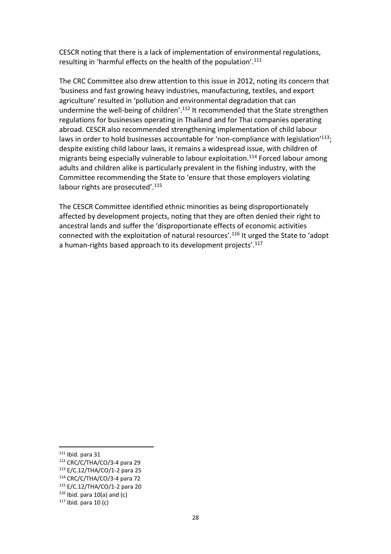CESCR noting that there is a lack of implementation of environmental regulations, resulting in 'harmful effects on the health of the population'.<sup>111</sup>

The CRC Committee also drew attention to this issue in 2012, noting its concern that 'business and fast growing heavy industries, manufacturing, textiles, and export agriculture' resulted in 'pollution and environmental degradation that can undermine the well-being of children'.<sup>112</sup> It recommended that the State strengthen regulations for businesses operating in Thailand and for Thai companies operating abroad. CESCR also recommended strengthening implementation of child labour laws in order to hold businesses accountable for 'non-compliance with legislation'<sup>113</sup>; despite existing child labour laws, it remains a widespread issue, with children of migrants being especially vulnerable to labour exploitation.<sup>114</sup> Forced labour among adults and children alike is particularly prevalent in the fishing industry, with the Committee recommending the State to 'ensure that those employers violating labour rights are prosecuted'.<sup>115</sup>

The CESCR Committee identified ethnic minorities as being disproportionately affected by development projects, noting that they are often denied their right to ancestral lands and suffer the 'disproportionate effects of economic activities connected with the exploitation of natural resources'.<sup>116</sup> It urged the State to 'adopt a human-rights based approach to its development projects'.<sup>117</sup>

 $111$  Ibid. para 31

<sup>112</sup> CRC/C/THA/CO/3-4 para 29

<sup>113</sup> E/C.12/THA/CO/1-2 para 25

<sup>114</sup> CRC/C/THA/CO/3-4 para 72

<sup>115</sup> E/C.12/THA/CO/1-2 para 20

 $116$  Ibid. para 10(a) and (c)

 $117$  Ibid. para 10 (c)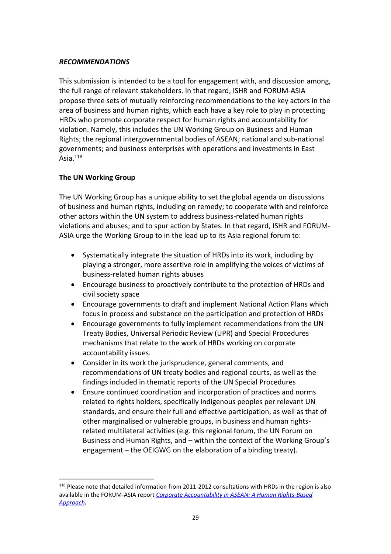## *RECOMMENDATIONS*

This submission is intended to be a tool for engagement with, and discussion among, the full range of relevant stakeholders. In that regard, ISHR and FORUM-ASIA propose three sets of mutually reinforcing recommendations to the key actors in the area of business and human rights, which each have a key role to play in protecting HRDs who promote corporate respect for human rights and accountability for violation. Namely, this includes the UN Working Group on Business and Human Rights; the regional intergovernmental bodies of ASEAN; national and sub-national governments; and business enterprises with operations and investments in East Asia. 118

# **The UN Working Group**

 $\overline{a}$ 

The UN Working Group has a unique ability to set the global agenda on discussions of business and human rights, including on remedy; to cooperate with and reinforce other actors within the UN system to address business-related human rights violations and abuses; and to spur action by States. In that regard, ISHR and FORUM-ASIA urge the Working Group to in the lead up to its Asia regional forum to:

- Systematically integrate the situation of HRDs into its work, including by playing a stronger, more assertive role in amplifying the voices of victims of business-related human rights abuses
- Encourage business to proactively contribute to the protection of HRDs and civil society space
- Encourage governments to draft and implement National Action Plans which focus in process and substance on the participation and protection of HRDs
- Encourage governments to fully implement recommendations from the UN Treaty Bodies, Universal Periodic Review (UPR) and Special Procedures mechanisms that relate to the work of HRDs working on corporate accountability issues.
- Consider in its work the jurisprudence, general comments, and recommendations of UN treaty bodies and regional courts, as well as the findings included in thematic reports of the UN Special Procedures
- Ensure continued coordination and incorporation of practices and norms related to rights holders, specifically indigenous peoples per relevant UN standards, and ensure their full and effective participation, as well as that of other marginalised or vulnerable groups, in business and human rightsrelated multilateral activities (e.g. this regional forum, the UN Forum on Business and Human Rights, and – within the context of the Working Group's engagement – the OEIGWG on the elaboration of a binding treaty).

<sup>&</sup>lt;sup>118</sup> Please note that detailed information from 2011-2012 consultations with HRDs in the region is also available in the FORUM-ASIA report *[Corporate Accountability in ASEAN: A Human Rights-Based](http://www.forum-asia.org/?p=16404)  [Approach](http://www.forum-asia.org/?p=16404).*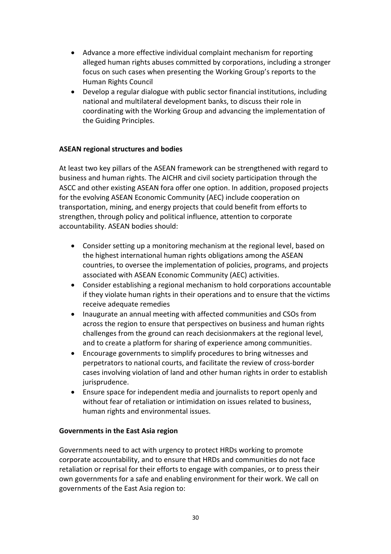- Advance a more effective individual complaint mechanism for reporting alleged human rights abuses committed by corporations, including a stronger focus on such cases when presenting the Working Group's reports to the Human Rights Council
- Develop a regular dialogue with public sector financial institutions, including national and multilateral development banks, to discuss their role in coordinating with the Working Group and advancing the implementation of the Guiding Principles.

# **ASEAN regional structures and bodies**

At least two key pillars of the ASEAN framework can be strengthened with regard to business and human rights. The AICHR and civil society participation through the ASCC and other existing ASEAN fora offer one option. In addition, proposed projects for the evolving ASEAN Economic Community (AEC) include cooperation on transportation, mining, and energy projects that could benefit from efforts to strengthen, through policy and political influence, attention to corporate accountability. ASEAN bodies should:

- Consider setting up a monitoring mechanism at the regional level, based on the highest international human rights obligations among the ASEAN countries, to oversee the implementation of policies, programs, and projects associated with ASEAN Economic Community (AEC) activities.
- Consider establishing a regional mechanism to hold corporations accountable if they violate human rights in their operations and to ensure that the victims receive adequate remedies
- Inaugurate an annual meeting with affected communities and CSOs from across the region to ensure that perspectives on business and human rights challenges from the ground can reach decisionmakers at the regional level, and to create a platform for sharing of experience among communities.
- Encourage governments to simplify procedures to bring witnesses and perpetrators to national courts, and facilitate the review of cross-border cases involving violation of land and other human rights in order to establish jurisprudence.
- Ensure space for independent media and journalists to report openly and without fear of retaliation or intimidation on issues related to business, human rights and environmental issues.

#### **Governments in the East Asia region**

Governments need to act with urgency to protect HRDs working to promote corporate accountability, and to ensure that HRDs and communities do not face retaliation or reprisal for their efforts to engage with companies, or to press their own governments for a safe and enabling environment for their work. We call on governments of the East Asia region to: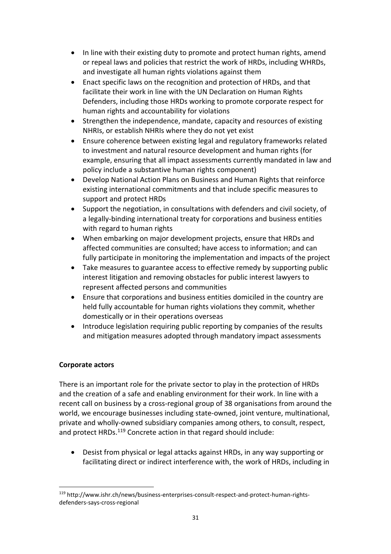- In line with their existing duty to promote and protect human rights, amend or repeal laws and policies that restrict the work of HRDs, including WHRDs, and investigate all human rights violations against them
- Enact specific laws on the recognition and protection of HRDs, and that facilitate their work in line with the UN Declaration on Human Rights Defenders, including those HRDs working to promote corporate respect for human rights and accountability for violations
- Strengthen the independence, mandate, capacity and resources of existing NHRIs, or establish NHRIs where they do not yet exist
- Ensure coherence between existing legal and regulatory frameworks related to investment and natural resource development and human rights (for example, ensuring that all impact assessments currently mandated in law and policy include a substantive human rights component)
- Develop National Action Plans on Business and Human Rights that reinforce existing international commitments and that include specific measures to support and protect HRDs
- Support the negotiation, in consultations with defenders and civil society, of a legally-binding international treaty for corporations and business entities with regard to human rights
- When embarking on major development projects, ensure that HRDs and affected communities are consulted; have access to information; and can fully participate in monitoring the implementation and impacts of the project
- Take measures to guarantee access to effective remedy by supporting public interest litigation and removing obstacles for public interest lawyers to represent affected persons and communities
- Ensure that corporations and business entities domiciled in the country are held fully accountable for human rights violations they commit, whether domestically or in their operations overseas
- Introduce legislation requiring public reporting by companies of the results and mitigation measures adopted through mandatory impact assessments

# **Corporate actors**

 $\overline{a}$ 

There is an important role for the private sector to play in the protection of HRDs and the creation of a safe and enabling environment for their work. In line with a recent call on business by a cross-regional group of 38 organisations from around the world, we encourage businesses including state-owned, joint venture, multinational, private and wholly-owned subsidiary companies among others, to consult, respect, and protect HRDs.<sup>119</sup> Concrete action in that regard should include:

 Desist from physical or legal attacks against HRDs, in any way supporting or facilitating direct or indirect interference with, the work of HRDs, including in

<sup>119</sup> http://www.ishr.ch/news/business-enterprises-consult-respect-and-protect-human-rightsdefenders-says-cross-regional